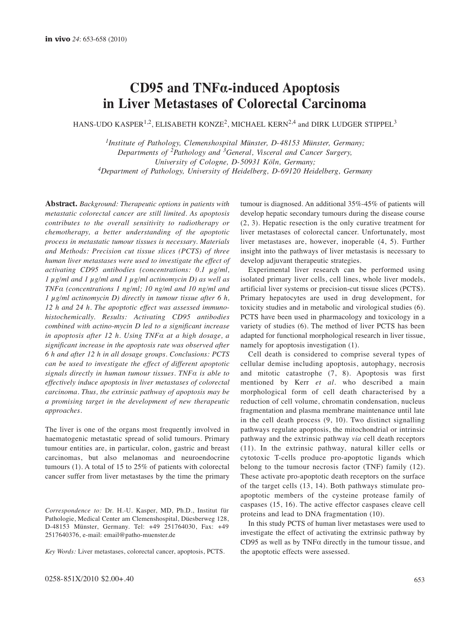# **CD95 and TNFα-induced Apoptosis in Liver Metastases of Colorectal Carcinoma**

HANS-UDO KASPER<sup>1,2</sup>, ELISABETH KONZE<sup>2</sup>, MICHAEL KERN<sup>2,4</sup> and DIRK LUDGER STIPPEL<sup>3</sup>

*1Institute of Pathology, Clemenshospital Münster, D-48153 Münster, Germany; Departments of 2Pathology and 3General, Visceral and Cancer Surgery, University of Cologne, D-50931 Köln, Germany; 4Department of Pathology, University of Heidelberg, D-69120 Heidelberg, Germany*

**Abstract.** *Background: Therapeutic options in patients with metastatic colorectal cancer are still limited. As apoptosis contributes to the overall sensitivity to radiotherapy or chemotherapy, a better understanding of the apoptotic process in metastatic tumour tissues is necessary. Materials and Methods: Precision cut tissue slices (PCTS) of three human liver metastases were used to investigate the effect of activating CD95 antibodies (concentrations: 0.1 μg/ml, 1 μg/ml and 1 μg/ml and 1 μg/ml actinomycin D) as well as TNFα (concentrations 1 ng/ml; 10 ng/ml and 10 ng/ml and 1 μg/ml actinomycin D) directly in tumour tissue after 6 h, 12 h and 24 h. The apoptotic effect was assessed immunohistochemically. Results: Activating CD95 antibodies combined with actino-mycin D led to a significant increase in apoptosis after 12 h. Using TNFα at a high dosage, a significant increase in the apoptosis rate was observed after 6 h and after 12 h in all dosage groups. Conclusions: PCTS can be used to investigate the effect of different apoptotic signals directly in human tumour tissues. TNFα is able to effectively induce apoptosis in liver metastases of colorectal carcinoma. Thus, the extrinsic pathway of apoptosis may be a promising target in the development of new therapeutic approaches.* 

The liver is one of the organs most frequently involved in haematogenic metastatic spread of solid tumours. Primary tumour entities are, in particular, colon, gastric and breast carcinomas, but also melanomas and neuroendocrine tumours (1). A total of 15 to 25% of patients with colorectal cancer suffer from liver metastases by the time the primary

*Correspondence to:* Dr. H.-U. Kasper, MD, Ph.D., Institut für Pathologie, Medical Center am Clemenshospital, Düesberweg 128, D-48153 Münster, Germany. Tel: +49 251764030, Fax: +49 2517640376, e-mail: email@patho-muenster.de

*Key Words:* Liver metastases, colorectal cancer, apoptosis, PCTS.

tumour is diagnosed. An additional 35%-45% of patients will develop hepatic secondary tumours during the disease course (2, 3). Hepatic resection is the only curative treatment for liver metastases of colorectal cancer. Unfortunately, most liver metastases are, however, inoperable (4, 5). Further insight into the pathways of liver metastasis is necessary to develop adjuvant therapeutic strategies.

Experimental liver research can be performed using isolated primary liver cells, cell lines, whole liver models, artificial liver systems or precision-cut tissue slices (PCTS). Primary hepatocytes are used in drug development, for toxicity studies and in metabolic and virological studies (6). PCTS have been used in pharmacology and toxicology in a variety of studies (6). The method of liver PCTS has been adapted for functional morphological research in liver tissue, namely for apoptosis investigation (1).

Cell death is considered to comprise several types of cellular demise including apoptosis, autophagy, necrosis and mitotic catastrophe (7, 8). Apoptosis was first mentioned by Kerr *et al.* who described a main morphological form of cell death characterised by a reduction of cell volume, chromatin condensation, nucleus fragmentation and plasma membrane maintenance until late in the cell death process (9, 10). Two distinct signalling pathways regulate apoptosis, the mitochondrial or intrinsic pathway and the extrinsic pathway *via* cell death receptors (11). In the extrinsic pathway, natural killer cells or cytotoxic T-cells produce pro-apoptotic ligands which belong to the tumour necrosis factor (TNF) family (12). These activate pro-apoptotic death receptors on the surface of the target cells (13, 14). Both pathways stimulate proapoptotic members of the cysteine protease family of caspases (15, 16). The active effector caspases cleave cell proteins and lead to DNA fragmentation (10).

In this study PCTS of human liver metastases were used to investigate the effect of activating the extrinsic pathway by CD95 as well as by TNFα directly in the tumour tissue, and the apoptotic effects were assessed.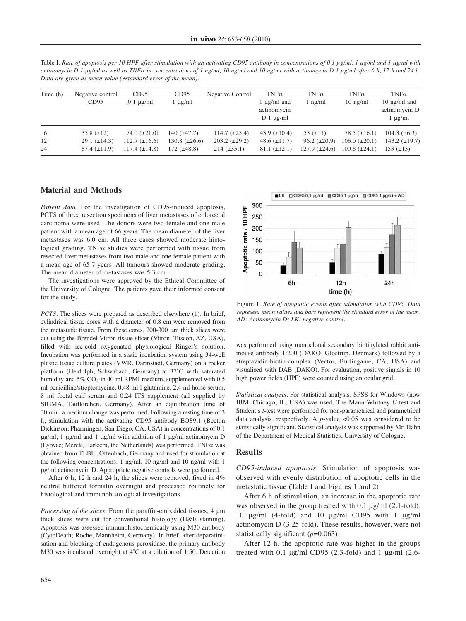Table I. *Rate of apoptosis per 10 HPF after stimulation with an activating CD95 antibody in concentrations of 0.1 μg/ml, 1 μg/ml and 1 μg/ml with actinomycin D 1 μg/ml as well as TNFα in concentrations of 1 ng/ml, 10 ng/ml and 10 ng/ml with actinomycin D 1 μg/ml after 6 h, 12 h and 24 h. Data are given as mean value (±standard error of the mean).*

| Time (h) | Negative control<br>CD95 | CD95<br>$0.1 \mu g/ml$ | CD95<br>$1 \mu g/ml$ | Negative Control     | $TNF\alpha$<br>1 $\mu$ g/ml and<br>actinomycin<br>$D_1 \mu g/ml$ | $TNF\alpha$<br>$\ln g/ml$ | $TNF\alpha$<br>$10$ ng/m $1$ | $TNF\alpha$<br>10 $\frac{ng}{ml}$ and<br>actinomycin D<br>$1 \mu g/ml$ |
|----------|--------------------------|------------------------|----------------------|----------------------|------------------------------------------------------------------|---------------------------|------------------------------|------------------------------------------------------------------------|
| -6       | $35.8 (\pm 12)$          | 74.0 $(\pm 21.0)$      | 140 $(\pm 47.7)$     | $114.7 (\pm 25.4)$   | 43.9 $(\pm 10.4)$                                                | 53 $(\pm 11)$             | 78.5 $(\pm 16.1)$            | 104.3 $(\pm 6.3)$                                                      |
| 12       | $29.1 (\pm 14.3)$        | $112.7 (\pm 16.6)$     | $130.8 (\pm 26.6)$   | $203.2 \ (\pm 29.2)$ | 48.6 $(\pm 11.7)$                                                | $96.2 \ (\pm 20.9)$       | $106.0 (\pm 20.1)$           | $143.2 (\pm 19.7)$                                                     |
| 24       | $87.4~(\pm 11.9)$        | $117.4 \ (\pm 14.8)$   | 172 $(\pm 48.8)$     | $214 (\pm 35.1)$     | $81.1 (\pm 12.1)$                                                | $127.9 \ (\pm 24.6)$      | $100.8~(\pm 24.1)$           | $153 \ (\pm 13)$                                                       |

### **Material and Methods**

*Patient data*. For the investigation of CD95-induced apoptosis, PCTS of three resection specimens of liver metastases of colorectal carcinoma were used. The donors were two female and one male patient with a mean age of 66 years. The mean diameter of the liver metastases was 6.0 cm. All three cases showed moderate histological grading. TNFα studies were performed with tissue from resected liver metastases from two male and one female patient with a mean age of 65.7 years. All tumours showed moderate grading. The mean diameter of metastases was 5.3 cm.

The investigations were approved by the Ethical Committee of the University of Cologne. The patients gave their informed consent for the study.

*PCTS*. The slices were prepared as described elsewhere (1). In brief, cylindrical tissue cores with a diameter of 0.8 cm were removed from the metastatic tissue. From these cores, 200-300 μm thick slices were cut using the Brendel Vitron tissue slicer (Vitron, Tuscon, AZ, USA), filled with ice-cold oxygenated physiological Ringer's solution. Incubation was performed in a static incubation system using 34-well plastic tissue culture plates (VWR, Darmstadt, Germany) on a rocker platform (Heidolph, Schwabach, Germany) at 37˚C with saturated humidity and  $5\%$  CO<sub>2</sub> in 40 ml RPMI medium, supplemented with  $0.5$ ml penicilline/streptomycine, 0.48 ml l-glutamine, 2.4 ml horse serum, 8 ml foetal calf serum and 0.24 ITS supplement (all supplied by SIGMA, Taufkirchen, Germany). After an equilibration time of 30 min, a medium change was performed. Following a resting time of 3 h, stimulation with the activating CD95 antibody EOS9.1 (Becton Dickinson, Pharmingen, San Diego, CA, USA) in concentrations of 0.1 μg/ml, 1 μg/ml and 1 μg/ml with addition of 1 μg/ml actinomycin D (Lyovac; Merck, Harleem, the Netherlands) was performed. TNFα was obtained from TEBU, Offenbach, Germany and used for stimulation at the following concentrations: 1 ng/ml, 10 ng/ml and 10 ng/ml with 1 μg/ml actinomycin D. Appropriate negative controls were performed.

After 6 h, 12 h and 24 h, the slices were removed, fixed in 4% neutral buffered formalin overnight and processed routinely for histological and immunohistological investigations.

*Processing of the slices.* From the paraffin-embedded tissues, 4 μm thick slices were cut for conventional histology (H&E staining). Apoptosis was assessed immunohistochemically using M30 antibody (CytoDeath; Roche, Mannheim, Germany). In brief, after deparafinisation and blocking of endogenous peroxidase, the primary antibody M30 was incubated overnight at 4˚C at a dilution of 1:50. Detection







Figure 1. *Rate of apoptotic events after stimulation with CD95. Data represent mean values and bars represent the standard error of the mean. AD: Actinomycin D; LK: negative control.*

was performed using monoclonal secondary biotinylated rabbit antimouse antibody 1:200 (DAKO, Glostrup, Denmark) followed by a streptavidin-biotin-complex (Vector, Burlingame, CA, USA) and visualised with DAB (DAKO). For evaluation, positive signals in 10 high power fields (HPF) were counted using an ocular grid.

*Statistical analysis.* For statistical analysis, SPSS for Windows (now IBM, Chicago, IL, USA) was used. The Mann-Whitney *U*-test and Student's *t*-test were performed for non-parametrical and parametrical data analysis, respectively. A *p*-value <0.05 was considered to be statistically significant. Statistical analysis was supported by Mr. Hahn of the Department of Medical Statistics, University of Cologne.

#### **Results**

*CD95-induced apoptosis.* Stimulation of apoptosis was observed with evenly distribution of apoptotic cells in the metastatic tissue (Table I and Figures 1 and 2).

After 6 h of stimulation, an increase in the apoptotic rate was observed in the group treated with 0.1 μg/ml (2.1-fold), 10 μg/ml (4-fold) and 10 μg/ml CD95 with 1 μg/ml actinomycin D (3.25-fold). These results, however, were not statistically significant ( $p=0.063$ ).

After 12 h, the apoptotic rate was higher in the groups treated with 0.1  $\mu$ g/ml CD95 (2.3-fold) and 1  $\mu$ g/ml (2.6-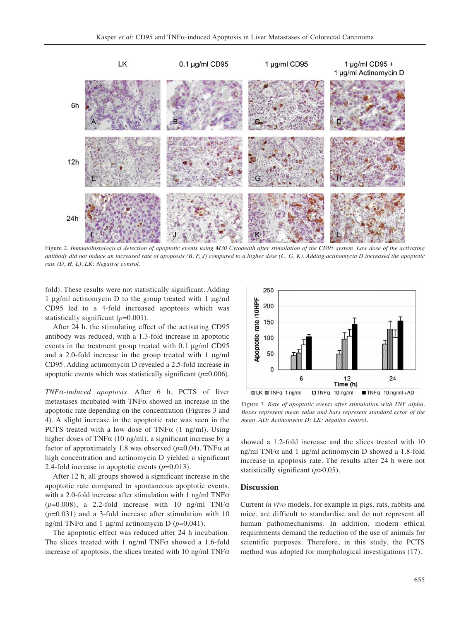

Figure 2. *Immunohistological detection of apoptotic events using M30 Cytodeath after stimulation of the CD95 system. Low dose of the activating antibody did not induce an increased rate of apoptosis (B, F, J) compared to a higher dose (C, G, K). Adding actinomycin D increased the apoptotic rate (D, H, L). LK: Negative control.* 

fold). These results were not statistically significant. Adding 1 μg/ml actinomycin D to the group treated with 1 μg/ml CD95 led to a 4-fold increased apoptosis which was statistically significant ( $p=0.001$ ).

After 24 h, the stimulating effect of the activating CD95 antibody was reduced, with a 1.3-fold increase in apoptotic events in the treatment group treated with 0.1 μg/ml CD95 and a 2.0-fold increase in the group treated with 1 μg/ml CD95. Adding actimomycin D revealed a 2.5-fold increase in apoptotic events which was statistically significant (*p*=0.006).

*TNFα-induced apoptosis*. After 6 h, PCTS of liver metastases incubated with TNFα showed an increase in the apoptotic rate depending on the concentration (Figures 3 and 4). A slight increase in the apoptotic rate was seen in the PCTS treated with a low dose of TNF $\alpha$  (1 ng/ml). Using higher doses of TNFα (10 ng/ml), a significant increase by a factor of approximately 1.8 was observed (*p*=0.04). TNFα at high concentration and actinomycin D yielded a significant 2.4-fold increase in apoptotic events (*p*=0.013).

After 12 h, all groups showed a significant increase in the apoptotic rate compared to spontaneous apoptotic events, with a 2.0-fold increase after stimulation with 1 ng/ml TNF $\alpha$  $(p=0.008)$ , a 2.2-fold increase with 10 ng/ml TNF $\alpha$ (*p*=0.031) and a 3-fold increase after stimulation with 10 ng/ml TNFα and 1 μg/ml actinomycin D (*p*=0.041).

The apoptotic effect was reduced after 24 h incubation. The slices treated with 1 ng/ml TNF $\alpha$  showed a 1.6-fold increase of apoptosis, the slices treated with 10 ng/ml TNF $\alpha$ 



Figure 3. *Rate of apoptotic events after stimulation with TNF alpha. Boxes represent mean value and bars represent standard error of the mean. AD: Actinomycin D; LK: negative control.*

showed a 1.2-fold increase and the slices treated with 10 ng/ml TNFα and 1 μg/ml actinomycin D showed a 1.8-fold increase in apoptosis rate. The results after 24 h were not statistically significant ( $p$ >0.05).

#### **Discussion**

Current *in vivo* models, for example in pigs, rats, rabbits and mice, are difficult to standardise and do not represent all human pathomechanisms. In addition, modern ethical requirements demand the reduction of the use of animals for scientific purposes. Therefore, in this study, the PCTS method was adopted for morphological investigations (17).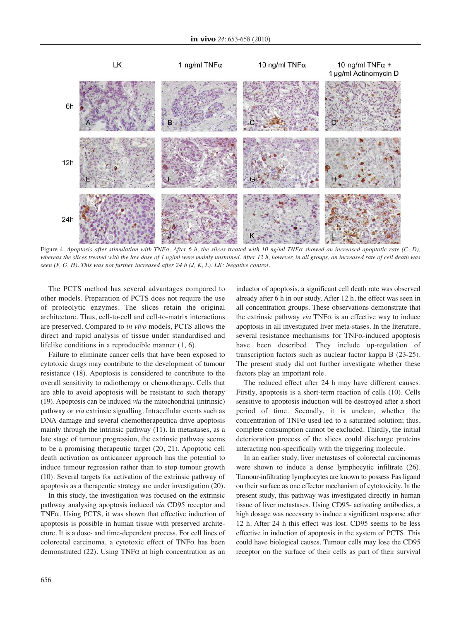

Figure 4. *Apoptosis after stimulation with TNFα. After 6 h, the slices treated with 10 ng/ml TNFα showed an increased apoptotic rate (C, D), whereas the slices treated with the low dose of 1 ng/ml were mainly unstained. After 12 h, however, in all groups, an increased rate of cell death was seen (F, G, H). This was not further increased after 24 h (J, K, L). LK: Negative control.*

The PCTS method has several advantages compared to other models. Preparation of PCTS does not require the use of proteolytic enzymes. The slices retain the original architecture. Thus, cell-to-cell and cell-to-matrix interactions are preserved. Compared to *in vivo* models, PCTS allows the direct and rapid analysis of tissue under standardised and lifelike conditions in a reproducible manner (1, 6).

Failure to eliminate cancer cells that have been exposed to cytotoxic drugs may contribute to the development of tumour resistance (18). Apoptosis is considered to contribute to the overall sensitivity to radiotherapy or chemotherapy. Cells that are able to avoid apoptosis will be resistant to such therapy (19). Apoptosis can be induced *via* the mitochondrial (intrinsic) pathway or *via* extrinsic signalling. Intracellular events such as DNA damage and several chemotherapeutica drive apoptosis mainly through the intrinsic pathway (11). In metastases, as a late stage of tumour progression, the extrinsic pathway seems to be a promising therapeutic target (20, 21). Apoptotic cell death activation as anticancer approach has the potential to induce tumour regression rather than to stop tumour growth (10). Several targets for activation of the extrinsic pathway of apoptosis as a therapeutic strategy are under investigation (20).

In this study, the investigation was focused on the extrinsic pathway analysing apoptosis induced *via* CD95 receptor and TNFα. Using PCTS, it was shown that effective induction of apoptosis is possible in human tissue with preserved architecture. It is a dose- and time-dependent process. For cell lines of colorectal carcinoma, a cytotoxic effect of TNFα has been demonstrated (22). Using TNF $\alpha$  at high concentration as an inductor of apoptosis, a significant cell death rate was observed already after 6 h in our study. After 12 h, the effect was seen in all concentration groups. These observations demonstrate that the extrinsic pathway *via* TNFα is an effective way to induce apoptosis in all investigated liver meta-stases. In the literature, several resistance mechanisms for TNFα-induced apoptosis have been described. They include up-regulation of transcription factors such as nuclear factor kappa B (23-25). The present study did not further investigate whether these factors play an important role.

The reduced effect after 24 h may have different causes. Firstly, apoptosis is a short-term reaction of cells (10). Cells sensitive to apoptosis induction will be destroyed after a short period of time. Secondly, it is unclear, whether the concentration of TNFα used led to a saturated solution; thus, complete consumption cannot be excluded. Thirdly, the initial deterioration process of the slices could discharge proteins interacting non-specifically with the triggering molecule.

In an earlier study, liver metastases of colorectal carcinomas were shown to induce a dense lymphocytic infiltrate (26). Tumour-infiltrating lymphocytes are known to possess Fas ligand on their surface as one effector mechanism of cytotoxicity. In the present study, this pathway was investigated directly in human tissue of liver metastases. Using CD95- activating antibodies, a high dosage was necessary to induce a significant response after 12 h. After 24 h this effect was lost. CD95 seems to be less effective in induction of apoptosis in the system of PCTS. This could have biological causes. Tumour cells may lose the CD95 receptor on the surface of their cells as part of their survival